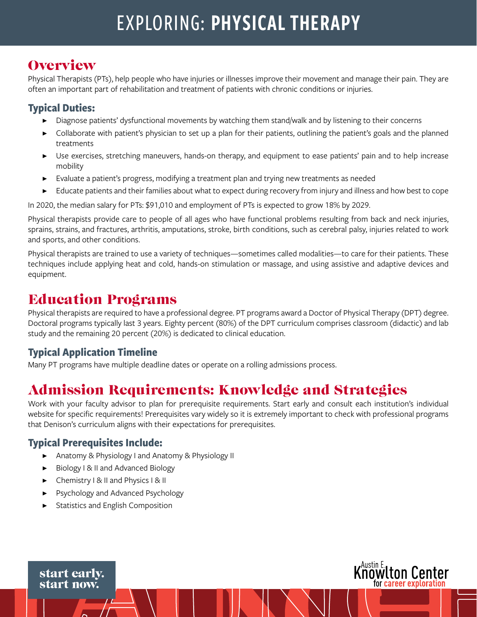# EXPLORING: PHYSICAL THERAPY

### **Overview**

Physical Therapists (PTs), help people who have injuries or illnesses improve their movement and manage their pain. They are often an important part of rehabilitation and treatment of patients with chronic conditions or injuries.

#### **Typical Duties:**

- Diagnose patients' dysfunctional movements by watching them stand/walk and by listening to their concerns
- Collaborate with patient's physician to set up a plan for their patients, outlining the patient's goals and the planned treatments
- Use exercises, stretching maneuvers, hands-on therapy, and equipment to ease patients' pain and to help increase mobility
- Evaluate a patient's progress, modifying a treatment plan and trying new treatments as needed
- Educate patients and their families about what to expect during recovery from injury and illness and how best to cope

In 2020, the median salary for PTs: \$91,010 and employment of PTs is expected to grow 18% by 2029.

Physical therapists provide care to people of all ages who have functional problems resulting from back and neck injuries, sprains, strains, and fractures, arthritis, amputations, stroke, birth conditions, such as cerebral palsy, injuries related to work and sports, and other conditions.

Physical therapists are trained to use a variety of techniques—sometimes called modalities—to care for their patients. These techniques include applying heat and cold, hands-on stimulation or massage, and using assistive and adaptive devices and equipment.

### Education Programs

Physical therapists are required to have a professional degree. PT programs award a Doctor of Physical Therapy (DPT) degree. Doctoral programs typically last 3 years. Eighty percent (80%) of the DPT curriculum comprises classroom (didactic) and lab study and the remaining 20 percent (20%) is dedicated to clinical education.

#### **Typical Application Timeline**

Many PT programs have multiple deadline dates or operate on a rolling admissions process.

### Admission Requirements: Knowledge and Strategies

Work with your faculty advisor to plan for prerequisite requirements. Start early and consult each institution's individual website for specific requirements! Prerequisites vary widely so it is extremely important to check with professional programs that Denison's curriculum aligns with their expectations for prerequisites.

#### **Typical Prerequisites Include:**

- Anatomy & Physiology I and Anatomy & Physiology II
- ▶ Biology I & II and Advanced Biology
- ▶ Chemistry I & II and Physics I & II
- Psychology and Advanced Psychology
- **Statistics and English Composition**



start early. start now.